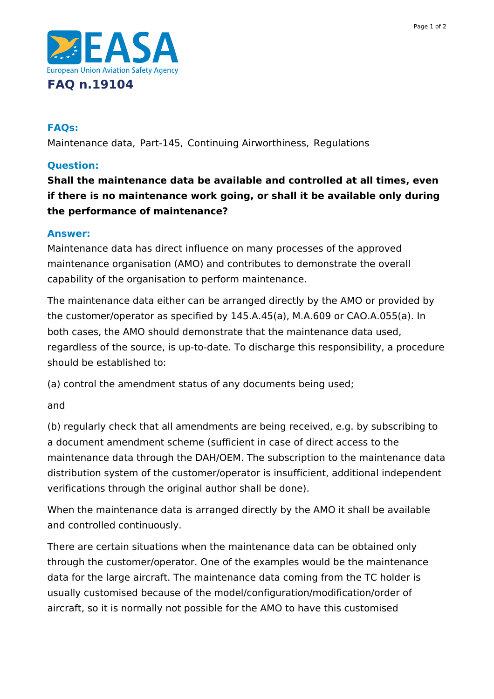

### **FAQs:**

Maintenance data, Part-145, Continuing Airworthiness, Regulations

## **Question:**

**Shall the maintenance data be available and controlled at all times, even if there is no maintenance work going, or shall it be available only during the performance of maintenance?**

#### **Answer:**

Maintenance data has direct influence on many processes of the approved maintenance organisation (AMO) and contributes to demonstrate the overall capability of the organisation to perform maintenance.

The maintenance data either can be arranged directly by the AMO or provided by the customer/operator as specified by 145.A.45(a), M.A.609 or CAO.A.055(a). In both cases, the AMO should demonstrate that the maintenance data used, regardless of the source, is up-to-date. To discharge this responsibility, a procedure should be established to:

(a) control the amendment status of any documents being used;

and

(b) regularly check that all amendments are being received, e.g. by subscribing to a document amendment scheme (sufficient in case of direct access to the maintenance data through the DAH/OEM. The subscription to the maintenance data distribution system of the customer/operator is insufficient, additional independent verifications through the original author shall be done).

When the maintenance data is arranged directly by the AMO it shall be available and controlled continuously.

There are certain situations when the maintenance data can be obtained only through the customer/operator. One of the examples would be the maintenance data for the large aircraft. The maintenance data coming from the TC holder is usually customised because of the model/configuration/modification/order of aircraft, so it is normally not possible for the AMO to have this customised